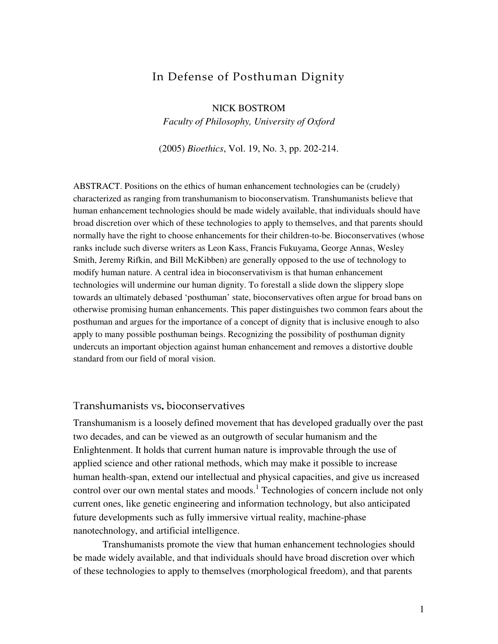# In Defense of Posthuman Dignity

#### NICK BOSTROM

*Faculty of Philosophy, University of Oxford*

(2005) *Bioethics*, Vol. 19, No. 3, pp. 202-214.

ABSTRACT. Positions on the ethics of human enhancement technologies can be (crudely) characterized as ranging from transhumanism to bioconservatism. Transhumanists believe that human enhancement technologies should be made widely available, that individuals should have broad discretion over which of these technologies to apply to themselves, and that parents should normally have the right to choose enhancements for their children-to-be. Bioconservatives (whose ranks include such diverse writers as Leon Kass, Francis Fukuyama, George Annas, Wesley Smith, Jeremy Rifkin, and Bill McKibben) are generally opposed to the use of technology to modify human nature. A central idea in bioconservativism is that human enhancement technologies will undermine our human dignity. To forestall a slide down the slippery slope towards an ultimately debased 'posthuman' state, bioconservatives often argue for broad bans on otherwise promising human enhancements. This paper distinguishes two common fears about the posthuman and argues for the importance of a concept of dignity that is inclusive enough to also apply to many possible posthuman beings. Recognizing the possibility of posthuman dignity undercuts an important objection against human enhancement and removes a distortive double standard from our field of moral vision.

#### Transhumanists vs. bioconservatives

Transhumanism is a loosely defined movement that has developed gradually over the past two decades, and can be viewed as an outgrowth of secular humanism and the Enlightenment. It holds that current human nature is improvable through the use of applied science and other rational methods, which may make it possible to increase human health-span, extend our intellectual and physical capacities, and give us increased control over our own mental states and moods.<sup>1</sup> Technologies of concern include not only current ones, like genetic engineering and information technology, but also anticipated future developments such as fully immersive virtual reality, machine-phase nanotechnology, and artificial intelligence.

Transhumanists promote the view that human enhancement technologies should be made widely available, and that individuals should have broad discretion over which of these technologies to apply to themselves (morphological freedom), and that parents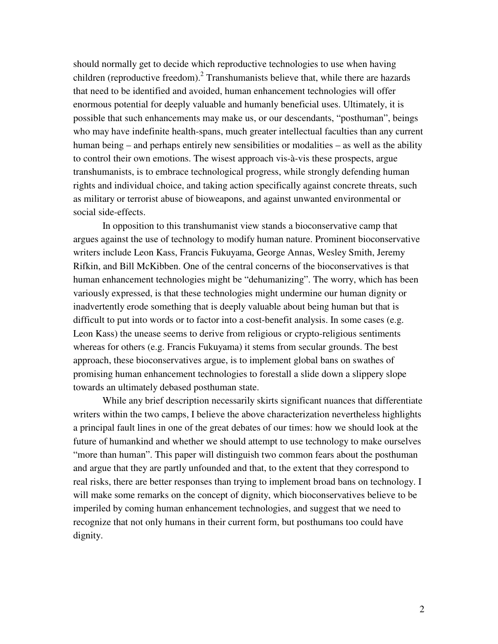should normally get to decide which reproductive technologies to use when having children (reproductive freedom). $<sup>2</sup>$  Transhumanists believe that, while there are hazards</sup> that need to be identified and avoided, human enhancement technologies will offer enormous potential for deeply valuable and humanly beneficial uses. Ultimately, it is possible that such enhancements may make us, or our descendants, "posthuman", beings who may have indefinite health-spans, much greater intellectual faculties than any current human being – and perhaps entirely new sensibilities or modalities – as well as the ability to control their own emotions. The wisest approach vis-à-vis these prospects, argue transhumanists, is to embrace technological progress, while strongly defending human rights and individual choice, and taking action specifically against concrete threats, such as military or terrorist abuse of bioweapons, and against unwanted environmental or social side-effects.

In opposition to this transhumanist view stands a bioconservative camp that argues against the use of technology to modify human nature. Prominent bioconservative writers include Leon Kass, Francis Fukuyama, George Annas, Wesley Smith, Jeremy Rifkin, and Bill McKibben. One of the central concerns of the bioconservatives is that human enhancement technologies might be "dehumanizing". The worry, which has been variously expressed, is that these technologies might undermine our human dignity or inadvertently erode something that is deeply valuable about being human but that is difficult to put into words or to factor into a cost-benefit analysis. In some cases (e.g. Leon Kass) the unease seems to derive from religious or crypto-religious sentiments whereas for others (e.g. Francis Fukuyama) it stems from secular grounds. The best approach, these bioconservatives argue, is to implement global bans on swathes of promising human enhancement technologies to forestall a slide down a slippery slope towards an ultimately debased posthuman state.

While any brief description necessarily skirts significant nuances that differentiate writers within the two camps, I believe the above characterization nevertheless highlights a principal fault lines in one of the great debates of our times: how we should look at the future of humankind and whether we should attempt to use technology to make ourselves "more than human". This paper will distinguish two common fears about the posthuman and argue that they are partly unfounded and that, to the extent that they correspond to real risks, there are better responses than trying to implement broad bans on technology. I will make some remarks on the concept of dignity, which bioconservatives believe to be imperiled by coming human enhancement technologies, and suggest that we need to recognize that not only humans in their current form, but posthumans too could have dignity.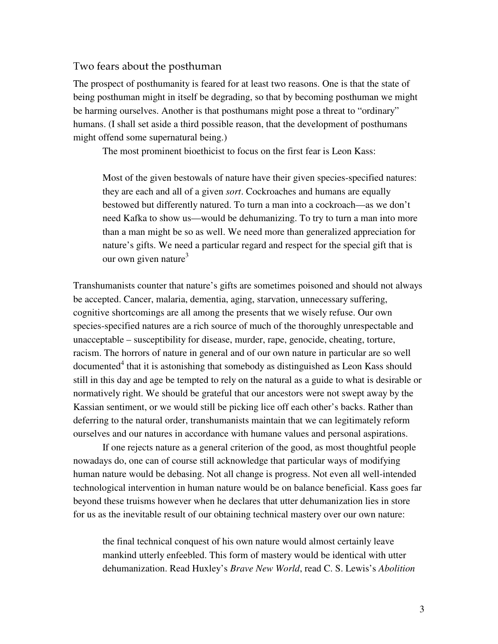## Two fears about the posthuman

The prospect of posthumanity is feared for at least two reasons. One is that the state of being posthuman might in itself be degrading, so that by becoming posthuman we might be harming ourselves. Another is that posthumans might pose a threat to "ordinary" humans. (I shall set aside a third possible reason, that the development of posthumans might offend some supernatural being.)

The most prominent bioethicist to focus on the first fear is Leon Kass:

Most of the given bestowals of nature have their given species-specified natures: they are each and all of a given *sort*. Cockroaches and humans are equally bestowed but differently natured. To turn a man into a cockroach—as we don't need Kafka to show us—would be dehumanizing. To try to turn a man into more than a man might be so as well. We need more than generalized appreciation for nature's gifts. We need a particular regard and respect for the special gift that is our own given nature<sup>3</sup>

Transhumanists counter that nature's gifts are sometimes poisoned and should not always be accepted. Cancer, malaria, dementia, aging, starvation, unnecessary suffering, cognitive shortcomings are all among the presents that we wisely refuse. Our own species-specified natures are a rich source of much of the thoroughly unrespectable and unacceptable – susceptibility for disease, murder, rape, genocide, cheating, torture, racism. The horrors of nature in general and of our own nature in particular are so well documented 4 that it is astonishing that somebody as distinguished as Leon Kass should still in this day and age be tempted to rely on the natural as a guide to what is desirable or normatively right. We should be grateful that our ancestors were not swept away by the Kassian sentiment, or we would still be picking lice off each other's backs. Rather than deferring to the natural order, transhumanists maintain that we can legitimately reform ourselves and our natures in accordance with humane values and personal aspirations.

If one rejects nature as a general criterion of the good, as most thoughtful people nowadays do, one can of course still acknowledge that particular ways of modifying human nature would be debasing. Not all change is progress. Not even all well-intended technological intervention in human nature would be on balance beneficial. Kass goes far beyond these truisms however when he declares that utter dehumanization lies in store for us as the inevitable result of our obtaining technical mastery over our own nature:

the final technical conquest of his own nature would almost certainly leave mankind utterly enfeebled. This form of mastery would be identical with utter dehumanization. Read Huxley's *Brave New World*, read C. S. Lewis's *Abolition*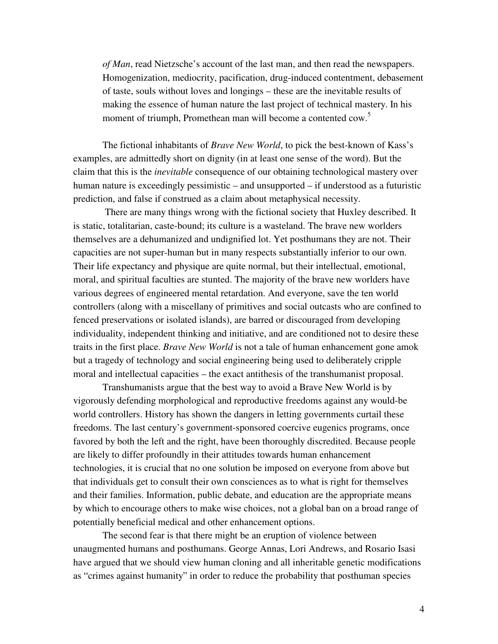*of Man*, read Nietzsche's account of the last man, and then read the newspapers. Homogenization, mediocrity, pacification, drug-induced contentment, debasement of taste, souls without loves and longings – these are the inevitable results of making the essence of human nature the last project of technical mastery. In his moment of triumph, Promethean man will become a contented cow.<sup>5</sup>

The fictional inhabitants of *Brave New World*, to pick the best-known of Kass's examples, are admittedly short on dignity (in at least one sense of the word). But the claim that this is the *inevitable* consequence of our obtaining technological mastery over human nature is exceedingly pessimistic – and unsupported – if understood as a futuristic prediction, and false if construed as a claim about metaphysical necessity.

There are many things wrong with the fictional society that Huxley described. It is static, totalitarian, caste-bound; its culture is a wasteland. The brave new worlders themselves are a dehumanized and undignified lot. Yet posthumans they are not. Their capacities are not super-human but in many respects substantially inferior to our own. Their life expectancy and physique are quite normal, but their intellectual, emotional, moral, and spiritual faculties are stunted. The majority of the brave new worlders have various degrees of engineered mental retardation. And everyone, save the ten world controllers (along with a miscellany of primitives and social outcasts who are confined to fenced preservations or isolated islands), are barred or discouraged from developing individuality, independent thinking and initiative, and are conditioned not to desire these traits in the first place. *Brave New World* is not a tale of human enhancement gone amok but a tragedy of technology and social engineering being used to deliberately cripple moral and intellectual capacities – the exact antithesis of the transhumanist proposal.

Transhumanists argue that the best way to avoid a Brave New World is by vigorously defending morphological and reproductive freedoms against any would-be world controllers. History has shown the dangers in letting governments curtail these freedoms. The last century's government-sponsored coercive eugenics programs, once favored by both the left and the right, have been thoroughly discredited. Because people are likely to differ profoundly in their attitudes towards human enhancement technologies, it is crucial that no one solution be imposed on everyone from above but that individuals get to consult their own consciences as to what is right for themselves and their families. Information, public debate, and education are the appropriate means by which to encourage others to make wise choices, not a global ban on a broad range of potentially beneficial medical and other enhancement options.

The second fear is that there might be an eruption of violence between unaugmented humans and posthumans. George Annas, Lori Andrews, and Rosario Isasi have argued that we should view human cloning and all inheritable genetic modifications as " crimes against humanity" in order to reduce the probability that posthuman species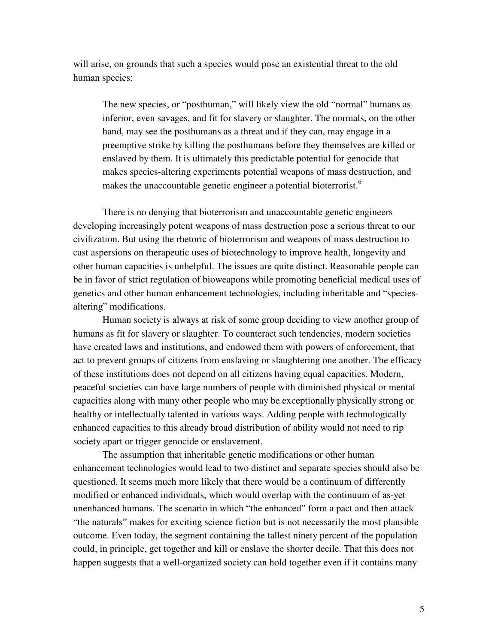will arise, on grounds that such a species would pose an existential threat to the old human species:

The new species, or "posthuman," will likely view the old "normal" humans as inferior, even savages, and fit for slavery or slaughter. The normals, on the other hand, may see the posthumans as a threat and if they can, may engage in a preemptive strike by killing the posthumans before they themselves are killed or enslaved by them. It is ultimately this predictable potential for genocide that makes species-altering experiments potential weapons of mass destruction, and makes the unaccountable genetic engineer a potential bioterrorist.<sup>6</sup>

There is no denying that bioterrorism and unaccountable genetic engineers developing increasingly potent weapons of mass destruction pose a serious threat to our civilization. But using the rhetoric of bioterrorism and weapons of mass destruction to cast aspersions on therapeutic uses of biotechnology to improve health, longevity and other human capacities is unhelpful. The issues are quite distinct. Reasonable people can be in favor of strict regulation of bioweapons while promoting beneficial medical uses of genetics and other human enhancement technologies, including inheritable and "speciesaltering" modifications.

Human society is always at risk of some group deciding to view another group of humans as fit for slavery or slaughter. To counteract such tendencies, modern societies have created laws and institutions, and endowed them with powers of enforcement, that act to prevent groups of citizens from enslaving or slaughtering one another. The efficacy of these institutions does not depend on all citizens having equal capacities. Modern, peaceful societies can have large numbers of people with diminished physical or mental capacities along with many other people who may be exceptionally physically strong or healthy or intellectually talented in various ways. Adding people with technologically enhanced capacities to this already broad distribution of ability would not need to rip society apart or trigger genocide or enslavement.

The assumption that inheritable genetic modifications or other human enhancement technologies would lead to two distinct and separate species should also be questioned. It seems much more likely that there would be a continuum of differently modified or enhanced individuals, which would overlap with the continuum of as-yet unenhanced humans. The scenario in which "the enhanced" form a pact and then attack " the naturals" makes for exciting science fiction but is not necessarily the most plausible outcome. Even today, the segment containing the tallest ninety percent of the population could, in principle, get together and kill or enslave the shorter decile. That this does not happen suggests that a well-organized society can hold together even if it contains many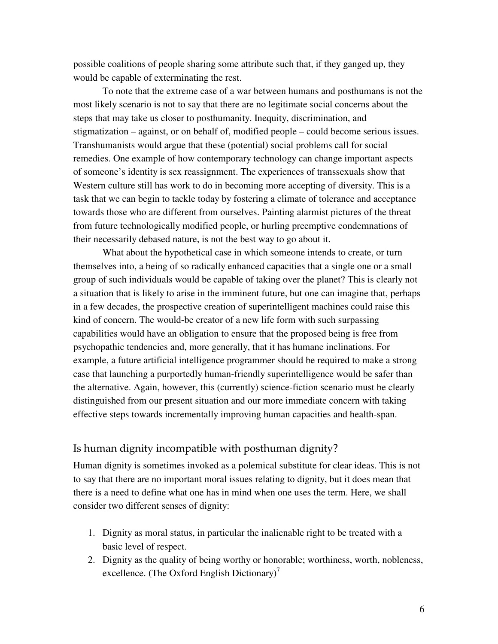possible coalitions of people sharing some attribute such that, if they ganged up, they would be capable of exterminating the rest.

To note that the extreme case of a war between humans and posthumans is not the most likely scenario is not to say that there are no legitimate social concerns about the steps that may take us closer to posthumanity. Inequity, discrimination, and stigmatization – against, or on behalf of, modified people – could become serious issues. Transhumanists would argue that these (potential) social problems call for social remedies. One example of how contemporary technology can change important aspects of someone's identity is sex reassignment. The experiences of transsexuals show that Western culture still has work to do in becoming more accepting of diversity. This is a task that we can begin to tackle today by fostering a climate of tolerance and acceptance towards those who are different from ourselves. Painting alarmist pictures of the threat from future technologically modified people, or hurling preemptive condemnations of their necessarily debased nature, is not the best way to go about it.

What about the hypothetical case in which someone intends to create, or turn themselves into, a being of so radically enhanced capacities that a single one or a small group of such individuals would be capable of taking over the planet? This is clearly not a situation that is likely to arise in the imminent future, but one can imagine that, perhaps in a few decades, the prospective creation of superintelligent machines could raise this kind of concern. The would-be creator of a new life form with such surpassing capabilities would have an obligation to ensure that the proposed being is free from psychopathic tendencies and, more generally, that it has humane inclinations. For example, a future artificial intelligence programmer should be required to make a strong case that launching a purportedly human-friendly superintelligence would be safer than the alternative. Again, however, this (currently) science-fiction scenario must be clearly distinguished from our present situation and our more immediate concern with taking effective steps towards incrementally improving human capacities and health-span.

### Is human dignity incompatible with posthuman dignity?

Human dignity is sometimes invoked as a polemical substitute for clear ideas. This is not to say that there are no important moral issues relating to dignity, but it does mean that there is a need to define what one has in mind when one uses the term. Here, we shall consider two different senses of dignity:

- 1. Dignity as moral status, in particular the inalienable right to be treated with a basic level of respect.
- 2. Dignity as the quality of being worthy or honorable; worthiness, worth, nobleness, excellence. (The Oxford English Dictionary)<sup>7</sup>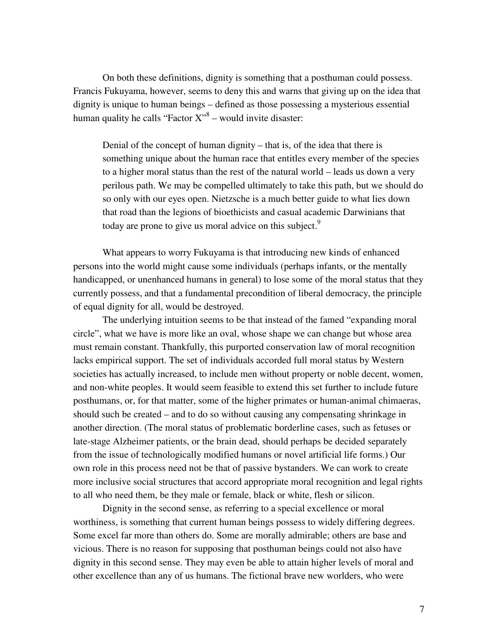On both these definitions, dignity is something that a posthuman could possess. Francis Fukuyama, however, seems to deny this and warns that giving up on the idea that dignity is unique to human beings – defined as those possessing a mysterious essential human quality he calls "Factor  $X^{\prime8}$  – would invite disaster:

Denial of the concept of human dignity – that is, of the idea that there is something unique about the human race that entitles every member of the species to a higher moral status than the rest of the natural world – leads us down a very perilous path. We may be compelled ultimately to take this path, but we should do so only with our eyes open. Nietzsche is a much better guide to what lies down that road than the legions of bioethicists and casual academic Darwinians that today are prone to give us moral advice on this subject.<sup>9</sup>

What appears to worry Fukuyama is that introducing new kinds of enhanced persons into the world might cause some individuals (perhaps infants, or the mentally handicapped, or unenhanced humans in general) to lose some of the moral status that they currently possess, and that a fundamental precondition of liberal democracy, the principle of equal dignity for all, would be destroyed.

The underlying intuition seems to be that instead of the famed "expanding moral circle", what we have is more like an oval, whose shape we can change but whose area must remain constant. Thankfully, this purported conservation law of moral recognition lacks empirical support. The set of individuals accorded full moral status by Western societies has actually increased, to include men without property or noble decent, women, and non-white peoples. It would seem feasible to extend this set further to include future posthumans, or, for that matter, some of the higher primates or human-animal chimaeras, should such be created – and to do so without causing any compensating shrinkage in another direction. (The moral status of problematic borderline cases, such as fetuses or late-stage Alzheimer patients, or the brain dead, should perhaps be decided separately from the issue of technologically modified humans or novel artificial life forms.) Our own role in this process need not be that of passive bystanders. We can work to create more inclusive social structures that accord appropriate moral recognition and legal rights to all who need them, be they male or female, black or white, flesh or silicon.

Dignity in the second sense, as referring to a special excellence or moral worthiness, is something that current human beings possess to widely differing degrees. Some excel far more than others do. Some are morally admirable; others are base and vicious. There is no reason for supposing that posthuman beings could not also have dignity in this second sense. They may even be able to attain higher levels of moral and other excellence than any of us humans. The fictional brave new worlders, who were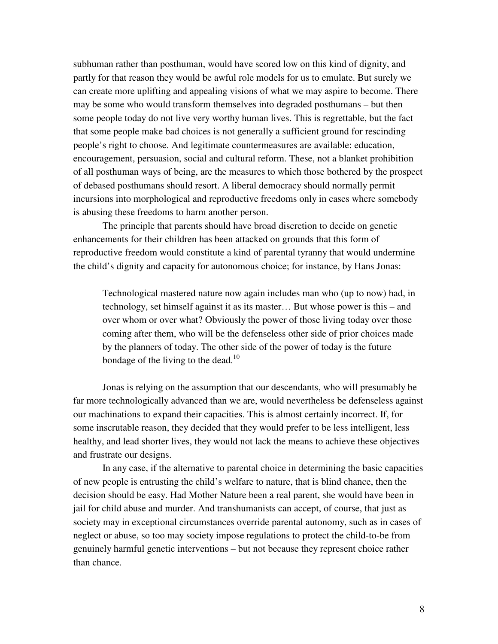subhuman rather than posthuman, would have scored low on this kind of dignity, and partly for that reason they would be awful role models for us to emulate. But surely we can create more uplifting and appealing visions of what we may aspire to become. There may be some who would transform themselves into degraded posthumans – but then some people today do not live very worthy human lives. This is regrettable, but the fact that some people make bad choices is not generally a sufficient ground for rescinding people's right to choose. And legitimate countermeasures are available: education, encouragement, persuasion, social and cultural reform. These, not a blanket prohibition of all posthuman ways of being, are the measures to which those bothered by the prospect of debased posthumans should resort. A liberal democracy should normally permit incursions into morphological and reproductive freedoms only in cases where somebody is abusing these freedoms to harm another person.

The principle that parents should have broad discretion to decide on genetic enhancements for their children has been attacked on grounds that this form of reproductive freedom would constitute a kind of parental tyranny that would undermine the child's dignity and capacity for autonomous choice; for instance, by Hans Jonas:

Technological mastered nature now again includes man who (up to now) had, in technology, set himself against it as its master… But whose power is this – and over whom or over what? Obviously the power of those living today over those coming after them, who will be the defenseless other side of prior choices made by the planners of today. The other side of the power of today is the future bondage of the living to the dead.<sup>10</sup>

Jonas is relying on the assumption that our descendants, who will presumably be far more technologically advanced than we are, would nevertheless be defenseless against our machinations to expand their capacities. This is almost certainly incorrect. If, for some inscrutable reason, they decided that they would prefer to be less intelligent, less healthy, and lead shorter lives, they would not lack the means to achieve these objectives and frustrate our designs.

In any case, if the alternative to parental choice in determining the basic capacities of new people is entrusting the child's welfare to nature, that is blind chance, then the decision should be easy. Had Mother Nature been a real parent, she would have been in jail for child abuse and murder. And transhumanists can accept, of course, that just as society may in exceptional circumstances override parental autonomy, such as in cases of neglect or abuse, so too may society impose regulations to protect the child-to-be from genuinely harmful genetic interventions – but not because they represent choice rather than chance.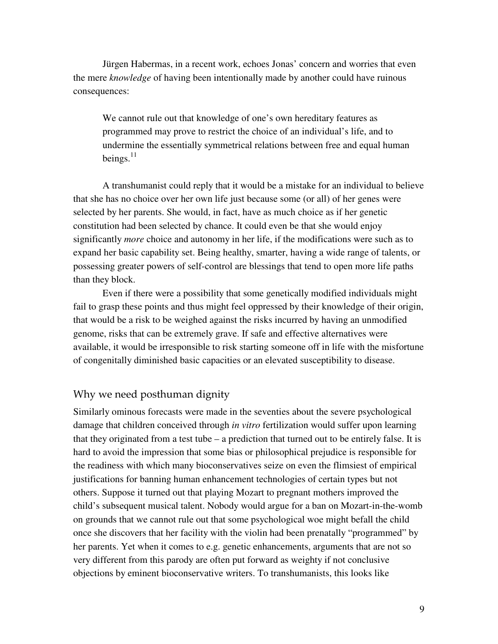Jürgen Habermas, in a recent work, echoes Jonas' concern and worries that even the mere *knowledge* of having been intentionally made by another could have ruinous consequences:

We cannot rule out that knowledge of one's own hereditary features as programmed may prove to restrict the choice of an individual's life, and to undermine the essentially symmetrical relations between free and equal human beings. $^{11}$ 

A transhumanist could reply that it would be a mistake for an individual to believe that she has no choice over her own life just because some (or all) of her genes were selected by her parents. She would, in fact, have as much choice as if her genetic constitution had been selected by chance. It could even be that she would enjoy significantly *more* choice and autonomy in her life, if the modifications were such as to expand her basic capability set. Being healthy, smarter, having a wide range of talents, or possessing greater powers of self-control are blessings that tend to open more life paths than they block.

Even if there were a possibility that some genetically modified individuals might fail to grasp these points and thus might feel oppressed by their knowledge of their origin, that would be a risk to be weighed against the risks incurred by having an unmodified genome, risks that can be extremely grave. If safe and effective alternatives were available, it would be irresponsible to risk starting someone off in life with the misfortune of congenitally diminished basic capacities or an elevated susceptibility to disease.

#### Why we need posthuman dignity

Similarly ominous forecasts were made in the seventies about the severe psychological damage that children conceived through *in vitro* fertilization would suffer upon learning that they originated from a test tube – a prediction that turned out to be entirely false. It is hard to avoid the impression that some bias or philosophical prejudice is responsible for the readiness with which many bioconservatives seize on even the flimsiest of empirical justifications for banning human enhancement technologies of certain types but not others. Suppose it turned out that playing Mozart to pregnant mothers improved the child's subsequent musical talent. Nobody would argue for a ban on Mozart-in-the-womb on grounds that we cannot rule out that some psychological woe might befall the child once she discovers that her facility with the violin had been prenatally " programmed" by her parents. Yet when it comes to e.g. genetic enhancements, arguments that are not so very different from this parody are often put forward as weighty if not conclusive objections by eminent bioconservative writers. To transhumanists, this looks like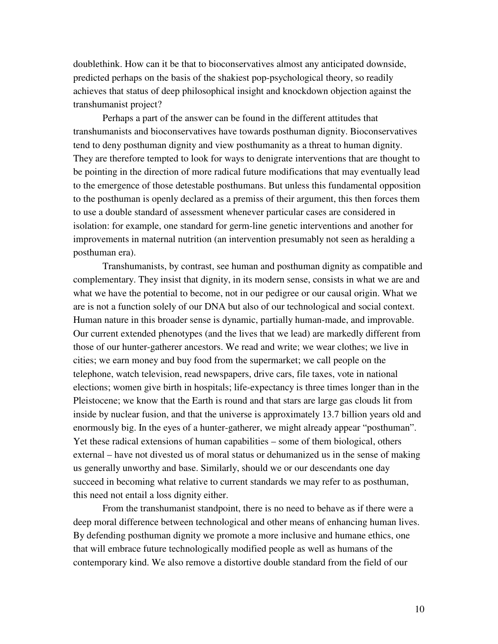doublethink. How can it be that to bioconservatives almost any anticipated downside, predicted perhaps on the basis of the shakiest pop-psychological theory, so readily achieves that status of deep philosophical insight and knockdown objection against the transhumanist project?

Perhaps a part of the answer can be found in the different attitudes that transhumanists and bioconservatives have towards posthuman dignity. Bioconservatives tend to deny posthuman dignity and view posthumanity as a threat to human dignity. They are therefore tempted to look for ways to denigrate interventions that are thought to be pointing in the direction of more radical future modifications that may eventually lead to the emergence of those detestable posthumans. But unless this fundamental opposition to the posthuman is openly declared as a premiss of their argument, this then forces them to use a double standard of assessment whenever particular cases are considered in isolation: for example, one standard for germ-line genetic interventions and another for improvements in maternal nutrition (an intervention presumably not seen as heralding a posthuman era).

Transhumanists, by contrast, see human and posthuman dignity as compatible and complementary. They insist that dignity, in its modern sense, consists in what we are and what we have the potential to become, not in our pedigree or our causal origin. What we are is not a function solely of our DNA but also of our technological and social context. Human nature in this broader sense is dynamic, partially human-made, and improvable. Our current extended phenotypes (and the lives that we lead) are markedly different from those of our hunter-gatherer ancestors. We read and write; we wear clothes; we live in cities; we earn money and buy food from the supermarket; we call people on the telephone, watch television, read newspapers, drive cars, file taxes, vote in national elections; women give birth in hospitals; life-expectancy is three times longer than in the Pleistocene; we know that the Earth is round and that stars are large gas clouds lit from inside by nuclear fusion, and that the universe is approximately 13.7 billion years old and enormously big. In the eyes of a hunter-gatherer, we might already appear "posthuman". Yet these radical extensions of human capabilities – some of them biological, others external – have not divested us of moral status or dehumanized us in the sense of making us generally unworthy and base. Similarly, should we or our descendants one day succeed in becoming what relative to current standards we may refer to as posthuman, this need not entail a loss dignity either.

From the transhumanist standpoint, there is no need to behave as if there were a deep moral difference between technological and other means of enhancing human lives. By defending posthuman dignity we promote a more inclusive and humane ethics, one that will embrace future technologically modified people as well as humans of the contemporary kind. We also remove a distortive double standard from the field of our